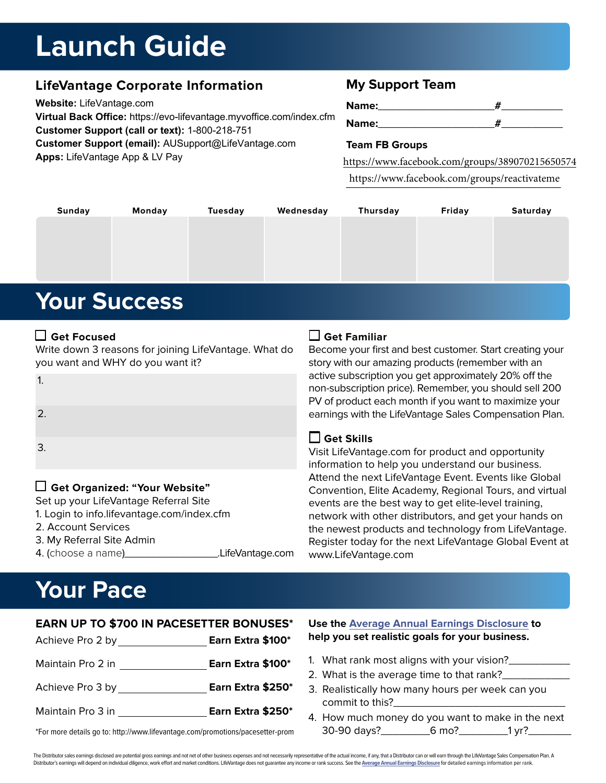# **Launch Guide**

## **LifeVantage Corporate Information**

**Website:** LifeVantage.com **Virtual Back Office:** https://evo-lifevantage.myvoffice.com/index.cfm **Customer Support (call or text):** 1-800-218-751 **Customer Support (email):** AUSupport@LifeVantage.com **Apps:** LifeVantage App & LV Pay

## **My Support Team**

| Name:        |  |
|--------------|--|
| <b>Name:</b> |  |

#### **Team FB Groups**

https://www.facebook.com/groups/389070215650574

\_\_\_\_\_\_\_\_\_\_\_\_\_\_\_\_\_\_\_\_\_\_\_\_\_\_\_\_\_\_\_\_\_\_\_ https://www.facebook.com/groups/reactivateme

| <b>Sunday</b>       | <b>Monday</b> | <b>Tuesday</b> | Wednesday | <b>Thursday</b> | Friday | Saturday |
|---------------------|---------------|----------------|-----------|-----------------|--------|----------|
|                     |               |                |           |                 |        |          |
|                     |               |                |           |                 |        |          |
|                     |               |                |           |                 |        |          |
|                     |               |                |           |                 |        |          |
| <b>Your Success</b> |               |                |           |                 |        |          |

#### **Get Focused**

1.

2.

3.

Write down 3 reasons for joining LifeVantage. What do you want and WHY do you want it?

 **Get Familiar**

Become your first and best customer. Start creating your story with our amazing products (remember with an active subscription you get approximately 20% off the non-subscription price). Remember, you should sell 200 PV of product each month if you want to maximize your earnings with the LifeVantage Sales Compensation Plan.

### **Get Skills**

Visit LifeVantage.com for product and opportunity information to help you understand our business. Attend the next LifeVantage Event. Events like Global Convention, Elite Academy, Regional Tours, and virtual events are the best way to get elite-level training, network with other distributors, and get your hands on the newest products and technology from LifeVantage. Register today for the next LifeVantage Global Event at www.LifeVantage.com

# **Your Pace**

2. Account Services 3. My Referral Site Admin

 **Get Organized: "Your Website"** Set up your LifeVantage Referral Site 1. Login to info.lifevantage.com/index.cfm

| <b>EARN UP TO \$700 IN PACESETTER BONUSES*</b> |                   |  |  |
|------------------------------------------------|-------------------|--|--|
|                                                | Earn Extra \$100* |  |  |
| Maintain Pro 2 in                              | Earn Extra \$100* |  |  |
| Achieve Pro 3 by                               | Earn Extra \$250* |  |  |
| Maintain Pro 3 in                              | Earn Extra \$250* |  |  |
|                                                |                   |  |  |

4. (choose a name)\_\_\_\_\_\_\_\_\_\_\_\_\_\_\_\_.LifeVantage.com

#### **Use the Average Annual Earnings Disclosure to help you set realistic goals for your business.**

- 1. What rank most aligns with your vision?
- 2. What is the average time to that rank?
- 3. Realistically how many hours per week can you commit to this?
- 4. How much money do you want to make in the next 30-90 days?\_\_\_\_\_\_\_\_6 mo?\_\_\_\_\_\_\_\_1 yr?\_\_\_\_\_\_\_

\*For more details go to: http://www.lifevantage.com/promotions/pacesetter-prom

The Distributor sales earnings disclosed are potential gross earnings and not net of other business expenses and not necessarily representative of the actual income, if any, that a Distributor can or will earn through the Distributor's earnings will depend on individual diligence, work effort and market conditions. LifeVantage does not guarantee any income or rank success. See the Average Annual Earnings Disclosure for detailed earnings inf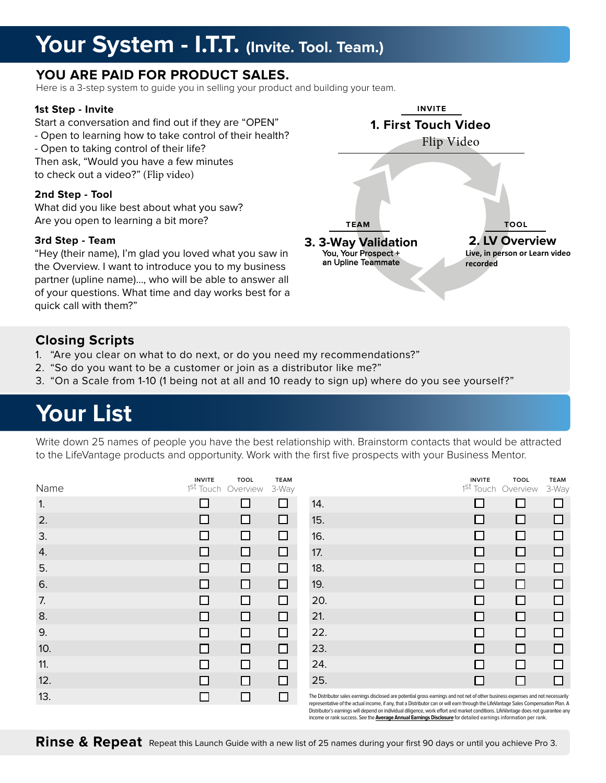## **Your System - I.T.T. (Invite. Tool. Team.)**

## **YOU ARE PAID FOR PRODUCT SALES.**

Here is a 3-step system to guide you in selling your product and building your team.

#### **1st Step - Invite**

Start a conversation and find out if they are "OPEN" - Open to learning how to take control of their health? - Open to taking control of their life? Then ask, "Would you have a few minutes

to check out a video?" (Flip video)

#### **2nd Step - Tool**

What did you like best about what you saw? Are you open to learning a bit more?

#### **3rd Step - Team**

"Hey (their name), I'm glad you loved what you saw in the Overview. I want to introduce you to my business partner (upline name)..., who will be able to answer all of your questions. What time and day works best for a quick call with them?"

## **Closing Scripts**

- 1. "Are you clear on what to do next, or do you need my recommendations?"
- 2. "So do you want to be a customer or join as a distributor like me?"
- 3. "On a Scale from 1-10 (1 being not at all and 10 ready to sign up) where do you see yourself?"

# **Your List**

Write down 25 names of people you have the best relationship with. Brainstorm contacts that would be attracted to the LifeVantage products and opportunity. Work with the first five prospects with your Business Mentor.

| Name | <b>INVITE</b>                                                                                                         | <b>TOOL</b><br>1 <sup>St</sup> Touch Overview | <b>TEAM</b><br>3-Way |                                       |
|------|-----------------------------------------------------------------------------------------------------------------------|-----------------------------------------------|----------------------|---------------------------------------|
| 1.   |                                                                                                                       | ΙI                                            | H                    | 14.                                   |
| 2.   | $\mathsf{I}$                                                                                                          |                                               | □                    | 15.                                   |
| 3.   | H                                                                                                                     |                                               | □                    | 16.                                   |
| 4.   |                                                                                                                       | ΙI                                            | ш                    | 17.                                   |
| 5.   | <b>The Contract of the Contract of the Contract of the Contract of the Contract of the Contract of the Contract o</b> |                                               | П                    | 18.                                   |
| 6.   | LΙ                                                                                                                    |                                               | □                    | 19.                                   |
| 7.   | $\mathbf{I}$                                                                                                          |                                               | ΙI                   | 20.                                   |
| 8.   | ΙI                                                                                                                    | $\mathsf{L}$                                  | $\Box$               | 21.                                   |
| 9.   | ΙI                                                                                                                    |                                               | П                    | 22.                                   |
| 10.  | $\mathsf{L}$                                                                                                          |                                               | П                    | 23.                                   |
| 11.  | $\mathsf{L}$                                                                                                          |                                               | $\Box$               | 24.                                   |
| 12.  | $\mathbf{I}$                                                                                                          | $\mathbf{I}$                                  | ΙI                   | 25.                                   |
| 13.  |                                                                                                                       |                                               |                      | The Distributor s<br>representative o |

| INVITE<br><sup>t</sup> Touch | TOOL<br>Overview | <b>TEAM</b><br>3-Way |     | <b>INVITE</b><br>1 <sup>St</sup> Touch | TOOL<br>Overview | <b>TEAM</b><br>3-Way |
|------------------------------|------------------|----------------------|-----|----------------------------------------|------------------|----------------------|
| □                            |                  | □                    | 14. | ш                                      | ΙI               | П                    |
| □                            | ΙI               | □                    | 15. | П                                      | □                | □                    |
| □                            | ΙI               | □                    | 16. | Ш                                      | П                | П                    |
| Н                            |                  | □                    | 17. | ш                                      | ΙI               | □                    |
| П                            |                  | □                    | 18. | □                                      | П                | □                    |
| $\mathsf{L}$                 |                  | □                    | 19. | ΙI                                     | ⊓                | □                    |
| ⊔                            | ΙI               | ◻                    | 20. | $\mathsf{L}$                           | ⊔                | □                    |
| □                            |                  | □                    | 21. | □                                      | □                | □                    |
| ⊔                            |                  | □                    | 22. | П                                      | П                | □                    |
| Ш                            | ΙI               | П                    | 23. | LΙ                                     | П                | □                    |
| ப                            |                  | П                    | 24. | Ш                                      | П                | □                    |
|                              | ΙI               | П                    | 25. | ⊔                                      | ΙI               | □                    |

 $s$ ales earnings disclosed are potential gross earnings and not net of other business expenses and not necessari of the actual income, if any, that a Distributor can or will earn through the LifeVantage Sales Compensation Plan. A Distributor's earnings will depend on individual diligence, work effort and market conditions. LifeVantage does not guarantee any income or rank success. See the **Average Annual Earnings Disclosure** for detailed earnings information per rank.